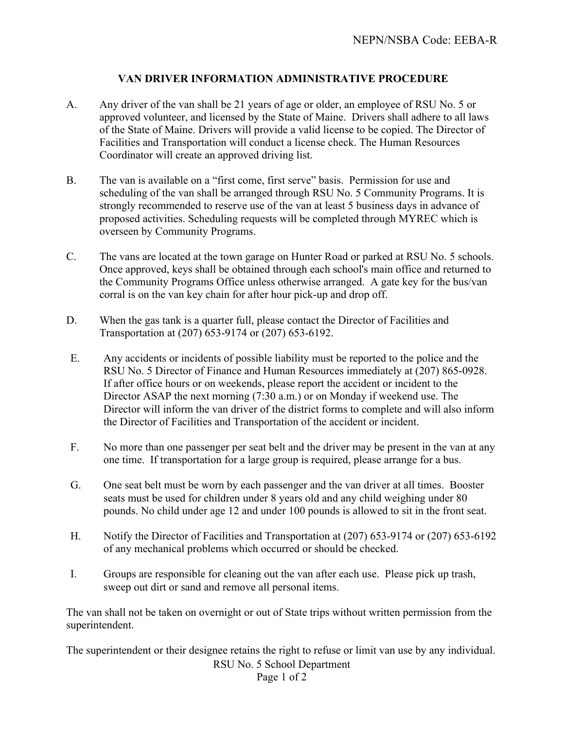## **VAN DRIVER INFORMATION ADMINISTRATIVE PROCEDURE**

- A. Any driver of the van shall be 21 years of age or older, an employee of RSU No. 5 or approved volunteer, and licensed by the State of Maine. Drivers shall adhere to all laws of the State of Maine. Drivers will provide a valid license to be copied. The Director of Facilities and Transportation will conduct a license check. The Human Resources Coordinator will create an approved driving list.
- B. The van is available on a "first come, first serve" basis. Permission for use and scheduling of the van shall be arranged through RSU No. 5 Community Programs. It is strongly recommended to reserve use of the van at least 5 business days in advance of proposed activities. Scheduling requests will be completed through MYREC which is overseen by Community Programs.
- C. The vans are located at the town garage on Hunter Road or parked at RSU No. 5 schools. Once approved, keys shall be obtained through each school's main office and returned to the Community Programs Office unless otherwise arranged. A gate key for the bus/van corral is on the van key chain for after hour pick-up and drop off.
- D. When the gas tank is a quarter full, please contact the Director of Facilities and Transportation at (207) 653-9174 or (207) 653-6192.
- E. Any accidents or incidents of possible liability must be reported to the police and the RSU No. 5 Director of Finance and Human Resources immediately at (207) 865-0928. If after office hours or on weekends, please report the accident or incident to the Director ASAP the next morning (7:30 a.m.) or on Monday if weekend use. The Director will inform the van driver of the district forms to complete and will also inform the Director of Facilities and Transportation of the accident or incident.
- F. No more than one passenger per seat belt and the driver may be present in the van at any one time. If transportation for a large group is required, please arrange for a bus.
- G. One seat belt must be worn by each passenger and the van driver at all times. Booster seats must be used for children under 8 years old and any child weighing under 80 pounds. No child under age 12 and under 100 pounds is allowed to sit in the front seat.
- H. Notify the Director of Facilities and Transportation at (207) 653-9174 or (207) 653-6192 of any mechanical problems which occurred or should be checked.
- I. Groups are responsible for cleaning out the van after each use. Please pick up trash, sweep out dirt or sand and remove all personal items.

The van shall not be taken on overnight or out of State trips without written permission from the superintendent.

The superintendent or their designee retains the right to refuse or limit van use by any individual.

RSU No. 5 School Department

Page 1 of 2